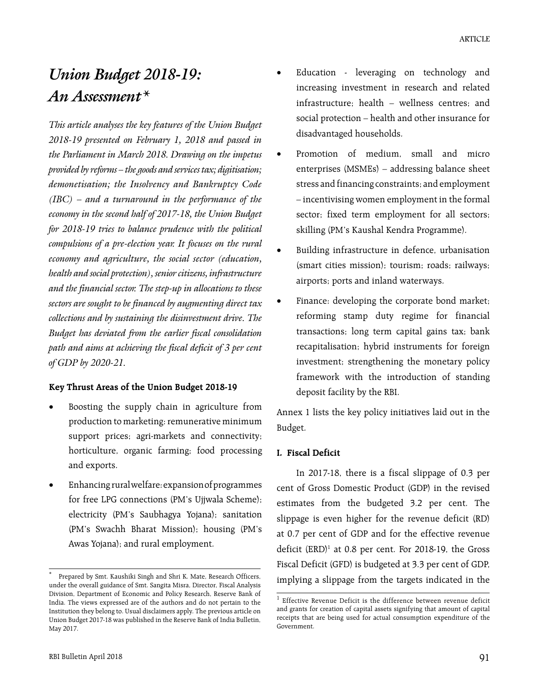# *Union Budget 2018-19: An Assessment\**

*This article analyses the key features of the Union Budget 2018-19 presented on February 1, 2018 and passed in the Parliament in March 2018. Drawing on the impetus provided by reforms – the goods and services tax; digitisation; demonetisation; the Insolvency and Bankruptcy Code (IBC) – and a turnaround in the performance of the economy in the second half of 2017-18, the Union Budget for 2018-19 tries to balance prudence with the political compulsions of a pre-election year. It focuses on the rural economy and agriculture, the social sector (education, health and social protection), senior citizens, infrastructure and the financial sector. The step-up in allocations to these sectors are sought to be financed by augmenting direct tax collections and by sustaining the disinvestment drive. The Budget has deviated from the earlier fiscal consolidation path and aims at achieving the fiscal deficit of 3 per cent of GDP by 2020-21.*

## **Key Thrust Areas of the Union Budget 2018-19**

- Boosting the supply chain in agriculture from production to marketing: remunerative minimum support prices; agri-markets and connectivity; horticulture, organic farming; food processing and exports.
- Enhancing rural welfare: expansion of programmes for free LPG connections (PM's Ujjwala Scheme); electricity (PM's Saubhagya Yojana); sanitation (PM's Swachh Bharat Mission); housing (PM's Awas Yojana); and rural employment.
- Education leveraging on technology and increasing investment in research and related infrastructure; health – wellness centres; and social protection – health and other insurance for disadvantaged households.
- Promotion of medium, small and micro enterprises (MSMEs) – addressing balance sheet stress and financing constraints; and employment – incentivising women employment in the formal sector; fixed term employment for all sectors; skilling (PM's Kaushal Kendra Programme).
- Building infrastructure in defence, urbanisation (smart cities mission); tourism; roads; railways; airports; ports and inland waterways.
- Finance: developing the corporate bond market; reforming stamp duty regime for financial transactions; long term capital gains tax; bank recapitalisation; hybrid instruments for foreign investment; strengthening the monetary policy framework with the introduction of standing deposit facility by the RBI.

Annex 1 lists the key policy initiatives laid out in the Budget.

## **I. Fiscal Deficit**

In 2017-18, there is a fiscal slippage of 0.3 per cent of Gross Domestic Product (GDP) in the revised estimates from the budgeted 3.2 per cent. The slippage is even higher for the revenue deficit (RD) at 0.7 per cent of GDP and for the effective revenue deficit (ERD)<sup>1</sup> at 0.8 per cent. For 2018-19, the Gross Fiscal Deficit (GFD) is budgeted at 3.3 per cent of GDP, implying a slippage from the targets indicated in the

Prepared by Smt. Kaushiki Singh and Shri K. Mate, Research Officers, under the overall guidance of Smt. Sangita Misra, Director, Fiscal Analysis Division, Department of Economic and Policy Research, Reserve Bank of India. The views expressed are of the authors and do not pertain to the Institution they belong to. Usual disclaimers apply. The previous article on Union Budget 2017-18 was published in the Reserve Bank of India Bulletin, May 2017.

<sup>&</sup>lt;sup>1</sup> Effective Revenue Deficit is the difference between revenue deficit and grants for creation of capital assets signifying that amount of capital receipts that are being used for actual consumption expenditure of the Government.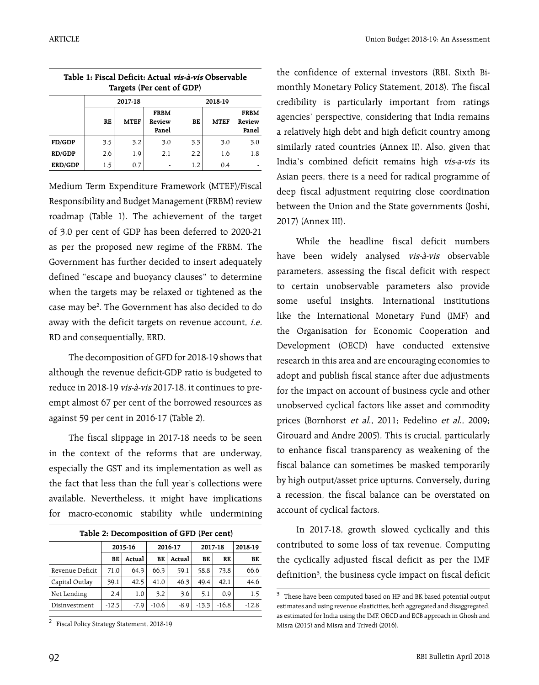|  | Union Budget 2018-19: An Assessment |
|--|-------------------------------------|
|--|-------------------------------------|

| Targets (Per cent of GDP) |     |             |                                |         |             |                         |  |  |
|---------------------------|-----|-------------|--------------------------------|---------|-------------|-------------------------|--|--|
|                           |     | 2017-18     |                                | 2018-19 |             |                         |  |  |
|                           | RE  | <b>MTEF</b> | <b>FRBM</b><br>Review<br>Panel | ВE      | <b>MTEF</b> | FRBM<br>Review<br>Panel |  |  |
| FD/GDP                    | 3.5 | 3.2         | 3.0                            | 3.3     | 3.0         | 3.0                     |  |  |
| RD/GDP                    | 2.6 | 1.9         | 2.1                            | 2.2     | 1.6         | 1.8                     |  |  |
| ERD/GDP                   | 1.5 | 0.7         |                                | 1.2     | 0.4         |                         |  |  |

| Table 1: Fiscal Deficit: Actual vis-à-vis Observable |
|------------------------------------------------------|
| Targets (Per cent of GDP)                            |

Medium Term Expenditure Framework (MTEF)/Fiscal Responsibility and Budget Management (FRBM) review roadmap (Table 1). The achievement of the target of 3.0 per cent of GDP has been deferred to 2020-21 as per the proposed new regime of the FRBM. The Government has further decided to insert adequately defined "escape and buoyancy clauses" to determine when the targets may be relaxed or tightened as the case may be<sup>2</sup>. The Government has also decided to do away with the deficit targets on revenue account, i.e. RD and consequentially, ERD.

The decomposition of GFD for 2018-19 shows that although the revenue deficit-GDP ratio is budgeted to reduce in 2018-19 vis-à-vis 2017-18, it continues to preempt almost 67 per cent of the borrowed resources as against 59 per cent in 2016-17 (Table 2).

The fiscal slippage in 2017-18 needs to be seen in the context of the reforms that are underway, especially the GST and its implementation as well as the fact that less than the full year's collections were available. Nevertheless, it might have implications for macro-economic stability while undermining

| Table 2: Decomposition of GFD (Per cent) |         |        |         |        |         |         |         |  |  |
|------------------------------------------|---------|--------|---------|--------|---------|---------|---------|--|--|
|                                          | 2015-16 |        | 2016-17 |        | 2017-18 |         | 2018-19 |  |  |
|                                          | ВE      | Actual | BE      | Actual | BE      | RE      | BE      |  |  |
| Revenue Deficit                          | 71.0    | 64.3   | 66.3    | 59.1   | 58.8    | 73.8    | 66.6    |  |  |
| Capital Outlay                           | 39.1    | 42.5   | 41.0    | 46.3   | 49.4    | 42.1    | 44.6    |  |  |
| Net Lending                              | 2.4     | 1.0    | 3.2     | 3.6    | 5.1     | 0.9     | 1.5     |  |  |
| Disinvestment                            | $-12.5$ | $-7.9$ | $-10.6$ | $-8.9$ | $-13.3$ | $-16.8$ | $-12.8$ |  |  |

<sup>2</sup> Fiscal Policy Strategy Statement, 2018-19

the confidence of external investors (RBI, Sixth Bimonthly Monetary Policy Statement, 2018). The fiscal credibility is particularly important from ratings agencies' perspective, considering that India remains a relatively high debt and high deficit country among similarly rated countries (Annex II). Also, given that India's combined deficit remains high vis-a-vis its Asian peers, there is a need for radical programme of deep fiscal adjustment requiring close coordination between the Union and the State governments (Joshi, 2017) (Annex III).

While the headline fiscal deficit numbers have been widely analysed vis-à-vis observable parameters, assessing the fiscal deficit with respect to certain unobservable parameters also provide some useful insights. International institutions like the International Monetary Fund (IMF) and the Organisation for Economic Cooperation and Development (OECD) have conducted extensive research in this area and are encouraging economies to adopt and publish fiscal stance after due adjustments for the impact on account of business cycle and other unobserved cyclical factors like asset and commodity prices (Bornhorst et al., 2011; Fedelino et al., 2009; Girouard and Andre 2005). This is crucial, particularly to enhance fiscal transparency as weakening of the fiscal balance can sometimes be masked temporarily by high output/asset price upturns. Conversely, during a recession, the fiscal balance can be overstated on account of cyclical factors.

In 2017-18, growth slowed cyclically and this contributed to some loss of tax revenue. Computing the cyclically adjusted fiscal deficit as per the IMF definition<sup>3</sup>, the business cycle impact on fiscal deficit

 $^3\,$  These have been computed based on HP and BK based potential output estimates and using revenue elasticities, both aggregated and disaggregated, as estimated for India using the IMF, OECD and ECB approach in Ghosh and Misra (2015) and Misra and Trivedi (2016).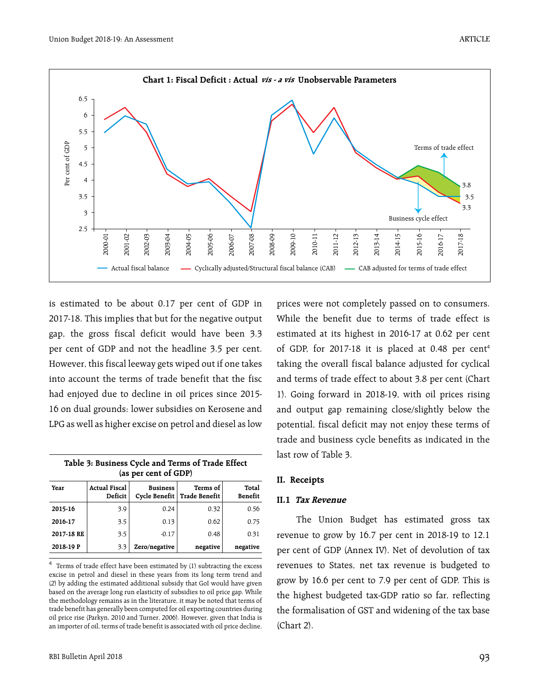

is estimated to be about 0.17 per cent of GDP in 2017-18. This implies that but for the negative output gap, the gross fiscal deficit would have been 3.3 per cent of GDP and not the headline 3.5 per cent. However, this fiscal leeway gets wiped out if one takes into account the terms of trade benefit that the fisc had enjoyed due to decline in oil prices since 2015- 16 on dual grounds: lower subsidies on Kerosene and LPG as well as higher excise on petrol and diesel as low

| Table 3: Business Cycle and Terms of Trade Effect |  |
|---------------------------------------------------|--|
| (as per cent of GDP)                              |  |

| Year       | <b>Actual Fiscal</b><br>Deficit | <b>Business</b> | Terms of<br>Cycle Benefit   Trade Benefit | Total<br><b>Benefit</b> |
|------------|---------------------------------|-----------------|-------------------------------------------|-------------------------|
| 2015-16    | 3.9                             | 0.24            | 0.32                                      | 0.56                    |
| 2016-17    | 3.5                             | 0.13            | 0.62                                      | 0.75                    |
| 2017-18 RE | 3.5                             | $-0.17$         | 0.48                                      | 0.31                    |
| 2018-19 P  | 3.3                             | Zero/negative   | negative                                  | negative                |

<sup>4</sup> Terms of trade effect have been estimated by (1) subtracting the excess excise in petrol and diesel in these years from its long term trend and (2) by adding the estimated additional subsidy that GoI would have given based on the average long run elasticity of subsidies to oil price gap. While the methodology remains as in the literature, it may be noted that terms of trade benefit has generally been computed for oil exporting countries during oil price rise (Parkyn, 2010 and Turner, 2006). However, given that India is an importer of oil, terms of trade benefit is associated with oil price decline.

prices were not completely passed on to consumers. While the benefit due to terms of trade effect is estimated at its highest in 2016-17 at 0.62 per cent of GDP, for 2017-18 it is placed at 0.48 per cent<sup>4</sup> taking the overall fiscal balance adjusted for cyclical and terms of trade effect to about 3.8 per cent (Chart 1). Going forward in 2018-19, with oil prices rising and output gap remaining close/slightly below the potential, fiscal deficit may not enjoy these terms of trade and business cycle benefits as indicated in the last row of Table 3.

#### **II. Receipts**

#### **II.1 Tax Revenue**

The Union Budget has estimated gross tax revenue to grow by 16.7 per cent in 2018-19 to 12.1 per cent of GDP (Annex IV). Net of devolution of tax revenues to States, net tax revenue is budgeted to grow by 16.6 per cent to 7.9 per cent of GDP. This is the highest budgeted tax-GDP ratio so far, reflecting the formalisation of GST and widening of the tax base (Chart 2).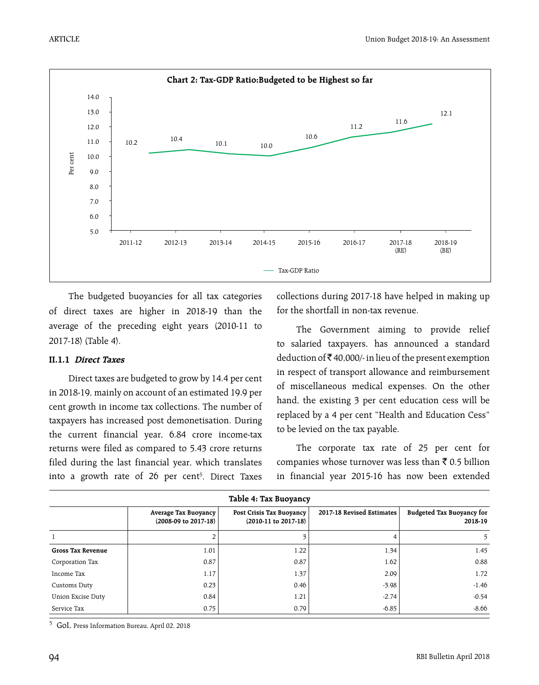

The budgeted buoyancies for all tax categories of direct taxes are higher in 2018-19 than the average of the preceding eight years (2010-11 to 2017-18) (Table 4).

#### **II.1.1 Direct Taxes**

Direct taxes are budgeted to grow by 14.4 per cent in 2018-19, mainly on account of an estimated 19.9 per cent growth in income tax collections. The number of taxpayers has increased post demonetisation. During the current financial year, 6.84 crore income-tax returns were filed as compared to 5.43 crore returns filed during the last financial year, which translates into a growth rate of 26 per cent<sup>5</sup>. Direct Taxes collections during 2017-18 have helped in making up for the shortfall in non-tax revenue.

The Government aiming to provide relief to salaried taxpayers, has announced a standard deduction of  $\bar{\bar{\mathcal{F}}}$  40,000/- in lieu of the present exemption in respect of transport allowance and reimbursement of miscellaneous medical expenses. On the other hand, the existing 3 per cent education cess will be replaced by a 4 per cent "Health and Education Cess" to be levied on the tax payable.

The corporate tax rate of 25 per cent for companies whose turnover was less than  $\bar{\tau}$  0.5 billion in financial year 2015-16 has now been extended

| Table 4: Tax Buoyancy    |                                              |                                                  |                           |                                             |  |  |  |  |  |
|--------------------------|----------------------------------------------|--------------------------------------------------|---------------------------|---------------------------------------------|--|--|--|--|--|
|                          | Average Tax Buoyancy<br>(2008-09 to 2017-18) | Post Crisis Tax Buoyancy<br>(2010-11 to 2017-18) | 2017-18 Revised Estimates | <b>Budgeted Tax Buoyancy for</b><br>2018-19 |  |  |  |  |  |
|                          |                                              |                                                  |                           | 5.                                          |  |  |  |  |  |
| <b>Gross Tax Revenue</b> | 1.01                                         | 1.22                                             | 1.34                      | 1.45                                        |  |  |  |  |  |
| Corporation Tax          | 0.87                                         | 0.87                                             | 1.62                      | 0.88                                        |  |  |  |  |  |
| Income Tax               | 1.17                                         | 1.37                                             | 2.09                      | 1.72                                        |  |  |  |  |  |
| Customs Duty             | 0.23                                         | 0.46                                             | $-3.98$                   | $-1.46$                                     |  |  |  |  |  |
| Union Excise Duty        | 0.84                                         | 1.21                                             | $-2.74$                   | $-0.54$                                     |  |  |  |  |  |
| Service Tax              | 0.75                                         | 0.79                                             | $-6.85$                   | $-8.66$                                     |  |  |  |  |  |

<sup>5</sup> GoI, Press Information Bureau, April 02, 2018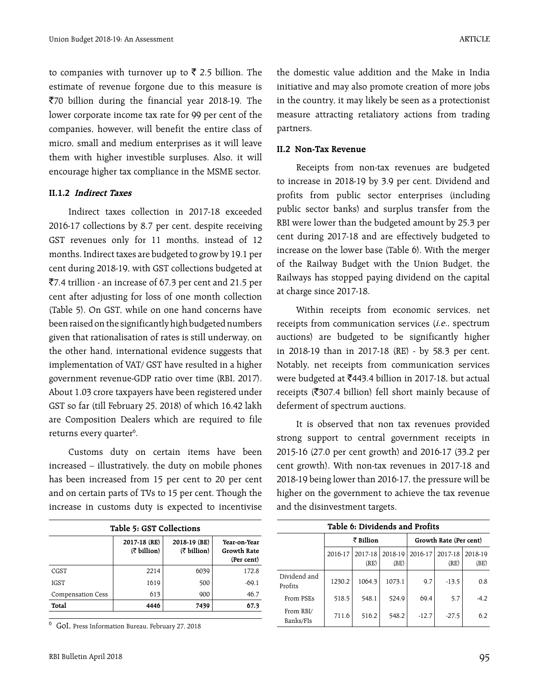to companies with turnover up to  $\bar{\tau}$  2.5 billion. The estimate of revenue forgone due to this measure is  $\overline{570}$  billion during the financial year 2018-19. The lower corporate income tax rate for 99 per cent of the companies, however, will benefit the entire class of micro, small and medium enterprises as it will leave them with higher investible surpluses. Also, it will encourage higher tax compliance in the MSME sector.

#### **II.1.2 Indirect Taxes**

Indirect taxes collection in 2017-18 exceeded 2016-17 collections by 8.7 per cent, despite receiving GST revenues only for 11 months, instead of 12 months. Indirect taxes are budgeted to grow by 19.1 per cent during 2018-19, with GST collections budgeted at  $\overline{57.4}$  trillion - an increase of 67.3 per cent and 21.5 per cent after adjusting for loss of one month collection (Table 5). On GST, while on one hand concerns have been raised on the significantly high budgeted numbers given that rationalisation of rates is still underway, on the other hand, international evidence suggests that implementation of VAT/ GST have resulted in a higher government revenue-GDP ratio over time (RBI, 2017). About 1.03 crore taxpayers have been registered under GST so far (till February 25, 2018) of which 16.42 lakh are Composition Dealers which are required to file returns every quarter<sup>6</sup>.

Customs duty on certain items have been increased – illustratively, the duty on mobile phones has been increased from 15 per cent to 20 per cent and on certain parts of TVs to 15 per cent. Though the increase in customs duty is expected to incentivise

| Table 5: GST Collections |                                       |                                       |                                           |  |  |  |  |
|--------------------------|---------------------------------------|---------------------------------------|-------------------------------------------|--|--|--|--|
|                          | 2017-18 (RE)<br>$(7 \text{ billion})$ | 2018-19 (BE)<br>$(7 \text{ billion})$ | Year-on-Year<br>Growth Rate<br>(Per cent) |  |  |  |  |
| CGST                     | 2214                                  | 6039                                  | 172.8                                     |  |  |  |  |
| <b>IGST</b>              | 1619                                  | 500                                   | $-69.1$                                   |  |  |  |  |
| Compensation Cess        | 613                                   | 900                                   | 46.7                                      |  |  |  |  |
| Total                    | 4446                                  | 7439                                  | 67.3                                      |  |  |  |  |

<sup>6</sup> GoI, Press Information Bureau, February 27, 2018

the domestic value addition and the Make in India initiative and may also promote creation of more jobs in the country, it may likely be seen as a protectionist measure attracting retaliatory actions from trading partners.

#### **II.2 Non-Tax Revenue**

Receipts from non-tax revenues are budgeted to increase in 2018-19 by 3.9 per cent. Dividend and profits from public sector enterprises (including public sector banks) and surplus transfer from the RBI were lower than the budgeted amount by 25.3 per cent during 2017-18 and are effectively budgeted to increase on the lower base (Table 6). With the merger of the Railway Budget with the Union Budget, the Railways has stopped paying dividend on the capital at charge since 2017-18.

Within receipts from economic services, net receipts from communication services  $(i.e.,$  spectrum auctions) are budgeted to be significantly higher in 2018-19 than in 2017-18 (RE) - by 58.3 per cent. Notably, net receipts from communication services were budgeted at ₹443.4 billion in 2017-18, but actual receipts ( $\overline{\mathfrak{F}}307.4$  billion) fell short mainly because of deferment of spectrum auctions.

It is observed that non tax revenues provided strong support to central government receipts in 2015-16 (27.0 per cent growth) and 2016-17 (33.2 per cent growth). With non-tax revenues in 2017-18 and 2018-19 being lower than 2016-17, the pressure will be higher on the government to achieve the tax revenue and the disinvestment targets.

| Table 6: Dividends and Profits |                   |                 |                 |                        |                 |                 |  |  |
|--------------------------------|-------------------|-----------------|-----------------|------------------------|-----------------|-----------------|--|--|
|                                | $\bar{z}$ Billion |                 |                 | Growth Rate (Per cent) |                 |                 |  |  |
|                                | 2016-17           | 2017-18<br>(RE) | 2018-19<br>(BE) | 2016-17                | 2017-18<br>(RE) | 2018-19<br>(BE) |  |  |
| Dividend and<br>Profits        | 1230.2            | 1064.3          | 1073.1          | 9.7                    | $-13.5$         | 0.8             |  |  |
| From PSEs                      | 518.5             | 548.1           | 524.9           | 69.4                   | 5.7             | $-4.2$          |  |  |
| From RBI/<br>Banks/FIs         | 711.6             | 516.2           | 548.2           | $-12.7$                | $-27.5$         | 6.2             |  |  |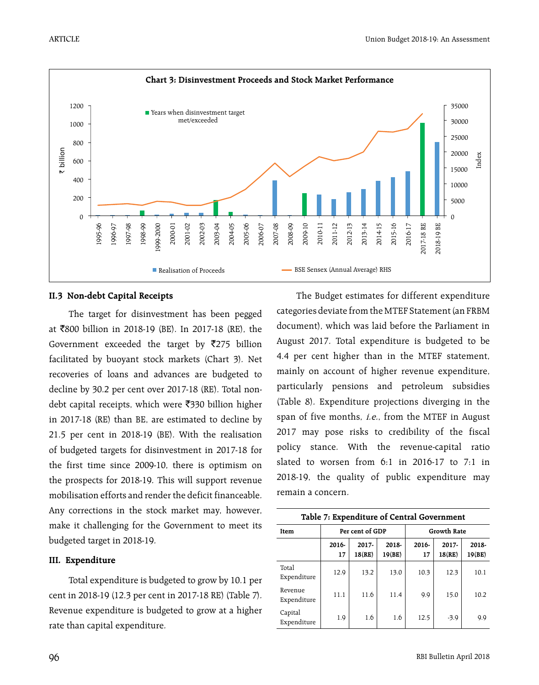

#### **II.3 Non-debt Capital Receipts**

The target for disinvestment has been pegged at ₹800 billion in 2018-19 (BE). In 2017-18 (RE), the Government exceeded the target by  $\bar{z}$ 275 billion facilitated by buoyant stock markets (Chart 3). Net recoveries of loans and advances are budgeted to decline by 30.2 per cent over 2017-18 (RE). Total nondebt capital receipts, which were  $\bar{z}$ 330 billion higher in 2017-18 (RE) than BE, are estimated to decline by 21.5 per cent in 2018-19 (BE). With the realisation of budgeted targets for disinvestment in 2017-18 for the first time since 2009-10, there is optimism on the prospects for 2018-19. This will support revenue mobilisation efforts and render the deficit financeable. Any corrections in the stock market may, however, make it challenging for the Government to meet its budgeted target in 2018-19.

#### **III. Expenditure**

Total expenditure is budgeted to grow by 10.1 per cent in 2018-19 (12.3 per cent in 2017-18 RE) (Table 7). Revenue expenditure is budgeted to grow at a higher rate than capital expenditure.

The Budget estimates for different expenditure categories deviate from the MTEF Statement (an FRBM document), which was laid before the Parliament in August 2017. Total expenditure is budgeted to be 4.4 per cent higher than in the MTEF statement, mainly on account of higher revenue expenditure, particularly pensions and petroleum subsidies (Table 8). Expenditure projections diverging in the span of five months, i.e., from the MTEF in August 2017 may pose risks to credibility of the fiscal policy stance. With the revenue-capital ratio slated to worsen from 6:1 in 2016-17 to 7:1 in 2018-19, the quality of public expenditure may remain a concern.

| Table 7: Expenditure of Central Government |             |                    |                 |                    |                       |                 |  |  |  |
|--------------------------------------------|-------------|--------------------|-----------------|--------------------|-----------------------|-----------------|--|--|--|
| Item                                       |             | Per cent of GDP    |                 | <b>Growth Rate</b> |                       |                 |  |  |  |
|                                            | 2016-<br>17 | $2017 -$<br>18(RE) | 2018-<br>19(BE) | 2016-<br>17        | $2017 -$<br>$18$ (RE) | 2018-<br>19(BE) |  |  |  |
| Total<br>Expenditure                       | 12.9        | 13.2               | 13.0            | 10.3               | 12.3                  | 10.1            |  |  |  |
| Revenue<br>Expenditure                     | 11.1        | 11.6               | 11.4            | 9.9                | 15.0                  | 10.2            |  |  |  |
| Capital<br>Expenditure                     | 1.9         | 1.6                | 1.6             | 12.5               | $-3.9$                | 9.9             |  |  |  |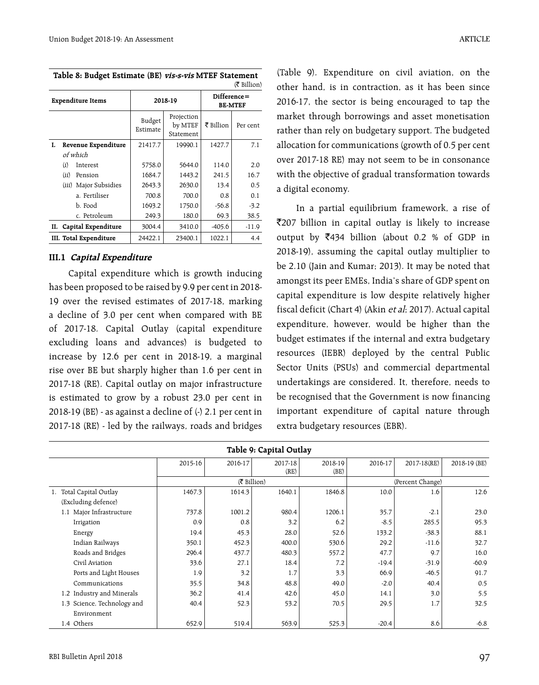|    | (₹ Billion)              |                    |                                    |                                 |          |  |  |
|----|--------------------------|--------------------|------------------------------------|---------------------------------|----------|--|--|
|    | <b>Expenditure Items</b> |                    | 2018-19                            | $Different =$<br><b>BE-MTEF</b> |          |  |  |
|    |                          | Budget<br>Estimate | Projection<br>by MTEF<br>Statement | ₹ Billion                       | Per cent |  |  |
| I. | Revenue Expenditure      | 21417.7            | 19990.1                            | 1427.7                          | 7.1      |  |  |
|    | of which                 |                    |                                    |                                 |          |  |  |
|    | (i)<br>Interest          | 5758.0             | 5644.0                             | 114.0                           | 2.0      |  |  |
|    | (ii)<br>Pension          | 1684.7             | 1443.2                             | 241.5                           | 16.7     |  |  |
|    | (iii) Major Subsidies    | 2643.3             | 2630.0                             | 13.4                            | 0.5      |  |  |
|    | a. Fertiliser            | 700.8              | 700.0                              | 0.8                             | 0.1      |  |  |
|    | b. Food                  | 1693.2             | 1750.0                             | $-56.8$                         | $-3.2$   |  |  |
|    | c. Petroleum             | 249.3              | 180.0                              | 69.3                            | 38.5     |  |  |
| Н. | Capital Expenditure      | 3004.4             | 3410.0                             | $-405.6$                        | $-11.9$  |  |  |
|    | III. Total Expenditure   | 24422.1            | 23400.1                            | 1022.1                          | 4.4      |  |  |

**Table 8: Budget Estimate (BE) vis-s-vis MTEF Statement**

#### **III.1 Capital Expenditure**

Capital expenditure which is growth inducing has been proposed to be raised by 9.9 per cent in 2018- 19 over the revised estimates of 2017-18, marking a decline of 3.0 per cent when compared with BE of 2017-18. Capital Outlay (capital expenditure excluding loans and advances) is budgeted to increase by 12.6 per cent in 2018-19, a marginal rise over BE but sharply higher than 1.6 per cent in 2017-18 (RE). Capital outlay on major infrastructure is estimated to grow by a robust 23.0 per cent in 2018-19 (BE) - as against a decline of (-) 2.1 per cent in 2017-18 (RE) - led by the railways, roads and bridges

(Table 9). Expenditure on civil aviation, on the other hand, is in contraction, as it has been since 2016-17, the sector is being encouraged to tap the market through borrowings and asset monetisation rather than rely on budgetary support. The budgeted allocation for communications (growth of 0.5 per cent over 2017-18 RE) may not seem to be in consonance with the objective of gradual transformation towards a digital economy.

In a partial equilibrium framework, a rise of ₹207 billion in capital outlay is likely to increase output by  $\overline{5}434$  billion (about 0.2 % of GDP in 2018-19), assuming the capital outlay multiplier to be 2.10 (Jain and Kumar; 2013). It may be noted that amongst its peer EMEs, India's share of GDP spent on capital expenditure is low despite relatively higher fiscal deficit (Chart 4) (Akin et al; 2017). Actual capital expenditure, however, would be higher than the budget estimates if the internal and extra budgetary resources (IEBR) deployed by the central Public Sector Units (PSUs) and commercial departmental undertakings are considered. It, therefore, needs to be recognised that the Government is now financing important expenditure of capital nature through extra budgetary resources (EBR).

| Table 9: Capital Outlay     |         |             |         |         |         |                  |              |  |
|-----------------------------|---------|-------------|---------|---------|---------|------------------|--------------|--|
|                             | 2015-16 | 2016-17     | 2017-18 | 2018-19 | 2016-17 | 2017-18(RE)      | 2018-19 (BE) |  |
|                             |         |             | (RE)    | (BE)    |         |                  |              |  |
|                             |         | (₹ Billion) |         |         |         | (Percent Change) |              |  |
| 1. Total Capital Outlay     | 1467.3  | 1614.3      | 1640.1  | 1846.8  | 10.0    | 1.6              | 12.6         |  |
| (Excluding defence)         |         |             |         |         |         |                  |              |  |
| 1.1 Major Infrastructure    | 737.8   | 1001.2      | 980.4   | 1206.1  | 35.7    | $-2.1$           | 23.0         |  |
| Irrigation                  | 0.9     | 0.8         | 3.2     | 6.2     | $-8.5$  | 285.5            | 95.3         |  |
| Energy                      | 19.4    | 45.3        | 28.0    | 52.6    | 133.2   | $-38.3$          | 88.1         |  |
| Indian Railways             | 350.1   | 452.3       | 400.0   | 530.6   | 29.2    | $-11.6$          | 32.7         |  |
| Roads and Bridges           | 296.4   | 437.7       | 480.3   | 557.2   | 47.7    | 9.7              | 16.0         |  |
| Civil Aviation              | 33.6    | 27.1        | 18.4    | 7.2     | $-19.4$ | $-31.9$          | $-60.9$      |  |
| Ports and Light Houses      | 1.9     | 3.2         | 1.7     | 3.3     | 66.9    | $-46.5$          | 91.7         |  |
| Communications              | 35.5    | 34.8        | 48.8    | 49.0    | $-2.0$  | 40.4             | 0.5          |  |
| 1.2 Industry and Minerals   | 36.2    | 41.4        | 42.6    | 45.0    | 14.1    | 3.0              | 5.5          |  |
| 1.3 Science, Technology and | 40.4    | 52.3        | 53.2    | 70.5    | 29.5    | 1.7              | 32.5         |  |
| Environment                 |         |             |         |         |         |                  |              |  |
| 1.4 Others                  | 652.9   | 519.4       | 563.9   | 525.3   | $-20.4$ | 8.6              | $-6.8$       |  |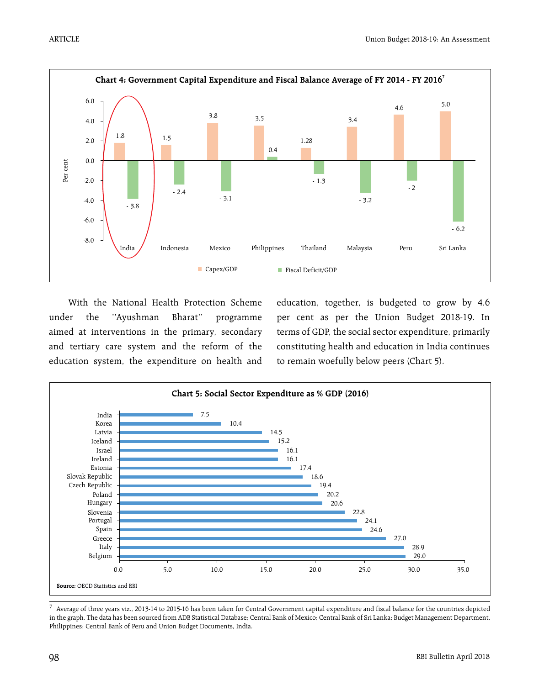

With the National Health Protection Scheme under the ''Ayushman Bharat'' programme aimed at interventions in the primary, secondary and tertiary care system and the reform of the education system, the expenditure on health and education, together, is budgeted to grow by 4.6 per cent as per the Union Budget 2018-19. In terms of GDP, the social sector expenditure, primarily constituting health and education in India continues to remain woefully below peers (Chart 5).



7 Average of three years viz., 2013-14 to 2015-16 has been taken for Central Government capital expenditure and fiscal balance for the countries depicted in the graph. The data has been sourced from ADB Statistical Database; Central Bank of Mexico; Central Bank of Sri Lanka; Budget Management Department, Philippines; Central Bank of Peru and Union Budget Documents, India.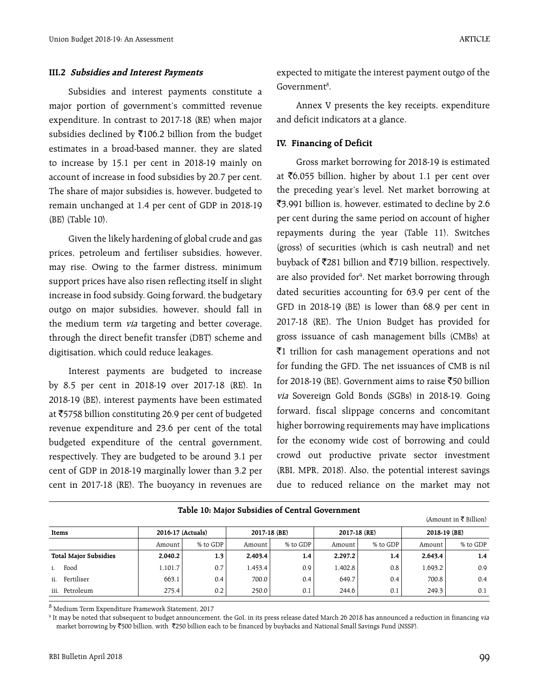#### **III.2 Subsidies and Interest Payments**

Subsidies and interest payments constitute a major portion of government's committed revenue expenditure. In contrast to 2017-18 (RE) when major subsidies declined by  $\bar{\mathfrak{e}}$ 106.2 billion from the budget estimates in a broad-based manner, they are slated to increase by 15.1 per cent in 2018-19 mainly on account of increase in food subsidies by 20.7 per cent. The share of major subsidies is, however, budgeted to remain unchanged at 1.4 per cent of GDP in 2018-19 (BE) (Table 10).

Given the likely hardening of global crude and gas prices, petroleum and fertiliser subsidies, however, may rise. Owing to the farmer distress, minimum support prices have also risen reflecting itself in slight increase in food subsidy. Going forward, the budgetary outgo on major subsidies, however, should fall in the medium term *via* targeting and better coverage, through the direct benefit transfer (DBT) scheme and digitisation, which could reduce leakages.

Interest payments are budgeted to increase by 8.5 per cent in 2018-19 over 2017-18 (RE). In 2018-19 (BE), interest payments have been estimated at ₹5758 billion constituting 26.9 per cent of budgeted revenue expenditure and 23.6 per cent of the total budgeted expenditure of the central government, respectively. They are budgeted to be around 3.1 per cent of GDP in 2018-19 marginally lower than 3.2 per cent in 2017-18 (RE). The buoyancy in revenues are

expected to mitigate the interest payment outgo of the Government<sup>8</sup>.

Annex V presents the key receipts, expenditure and deficit indicators at a glance.

#### **IV. Financing of Deficit**

Gross market borrowing for 2018-19 is estimated at  $\bar{\xi}$ 6,055 billion, higher by about 1.1 per cent over the preceding year's level. Net market borrowing at `3,991 billion is, however, estimated to decline by 2.6 per cent during the same period on account of higher repayments during the year (Table 11). Switches (gross) of securities (which is cash neutral) and net buyback of  $\bar{\tau}$ 281 billion and  $\bar{\tau}$ 719 billion, respectively, are also provided for<sup>9</sup>. Net market borrowing through dated securities accounting for 63.9 per cent of the GFD in 2018-19 (BE) is lower than 68.9 per cent in 2017-18 (RE). The Union Budget has provided for gross issuance of cash management bills (CMBs) at  $\bar{z}$ 1 trillion for cash management operations and not for funding the GFD. The net issuances of CMB is nil for 2018-19 (BE). Government aims to raise  $\overline{\xi}$ 50 billion via Sovereign Gold Bonds (SGBs) in 2018-19. Going forward, fiscal slippage concerns and concomitant higher borrowing requirements may have implications for the economy wide cost of borrowing and could crowd out productive private sector investment (RBI, MPR, 2018). Also, the potential interest savings due to reduced reliance on the market may not

|                              |                   |          |              |          |              |          |              | (Amount in ₹ Billion) |
|------------------------------|-------------------|----------|--------------|----------|--------------|----------|--------------|-----------------------|
| Items                        | 2016-17 (Actuals) |          | 2017-18 (BE) |          | 2017-18 (RE) |          | 2018-19 (BE) |                       |
|                              | Amount            | % to GDP | Amount       | % to GDP | Amount       | % to GDP | Amount       | % to GDP              |
| <b>Total Major Subsidies</b> | 2,040.2           | 1.3      | 2,403.4      | 1.4      | 2,297.2      | 1.4      | 2,643.4      | 1.4                   |
| Food                         | 1,101.7           | 0.7      | 1,453.4      | 0.9      | 1,402.8      | 0.8      | 1,693.2      | 0.9                   |
| Fertiliser<br>ii.            | 663.1             | 0.4      | 700.0        | 0.4      | 649.7        | 0.4      | 700.8        | 0.4                   |
| Petroleum<br>iii.            | 275.4             | 0.2      | 250.0        | 0.1      | 244.6        | 0.1      | 249.3        | 0.1                   |

**Table 10: Major Subsidies of Central Government** 

 $^8$  Medium Term Expenditure Framework Statement, 2017

<sup>9</sup> It may be noted that subsequent to budget announcement, the GoI, in its press release dated March 26 2018 has announced a reduction in financing *via* market borrowing by `500 billion, with `250 billion each to be financed by buybacks and National Small Savings Fund (NSSF).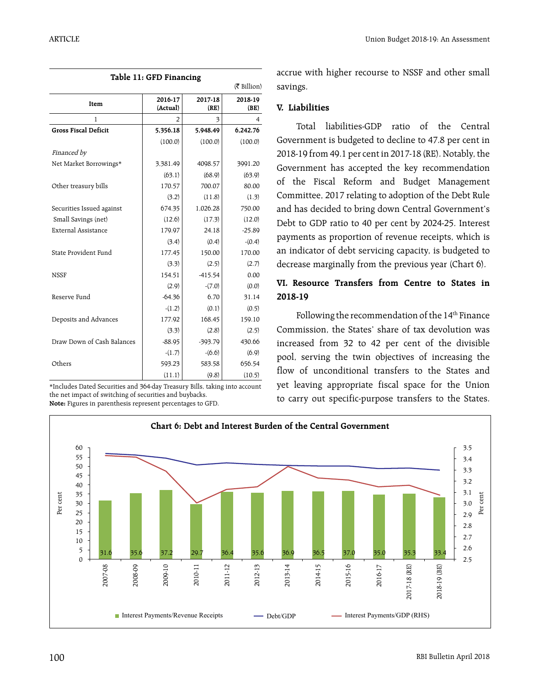|  |  |  | Union Budget 2018-19: An Assessment |  |
|--|--|--|-------------------------------------|--|
|--|--|--|-------------------------------------|--|

| Table 11: GFD Financing     |                |           |          |  |  |  |  |  |  |
|-----------------------------|----------------|-----------|----------|--|--|--|--|--|--|
| (₹ Billion)                 |                |           |          |  |  |  |  |  |  |
| Item                        | 2016-17        | 2017-18   | 2018-19  |  |  |  |  |  |  |
|                             | (Actual)       | (RE)      | (BE)     |  |  |  |  |  |  |
| 1                           | $\overline{2}$ | 3         | 4        |  |  |  |  |  |  |
| <b>Gross Fiscal Deficit</b> | 5,356.18       | 5,948.49  | 6,242.76 |  |  |  |  |  |  |
|                             | (100.0)        | (100.0)   | (100.0)  |  |  |  |  |  |  |
| Financed by                 |                |           |          |  |  |  |  |  |  |
| Net Market Borrowings*      | 3,381.49       | 4098.57   | 3991.20  |  |  |  |  |  |  |
|                             | (63.1)         | (68.9)    | (63.9)   |  |  |  |  |  |  |
| Other treasury bills        | 170.57         | 700.07    | 80.00    |  |  |  |  |  |  |
|                             | (3.2)          | (11.8)    | (1.3)    |  |  |  |  |  |  |
| Securities Issued against   | 674.35         | 1.026.28  | 750.00   |  |  |  |  |  |  |
| Small Savings (net)         | (12.6)         | (17.3)    | (12.0)   |  |  |  |  |  |  |
| External Assistance         | 179.97         | 24.18     | $-25.89$ |  |  |  |  |  |  |
|                             | (3.4)          | (0.4)     | $-(0.4)$ |  |  |  |  |  |  |
| State Provident Fund        | 177.45         | 150.00    | 170.00   |  |  |  |  |  |  |
|                             | (3.3)          | (2.5)     | (2.7)    |  |  |  |  |  |  |
| <b>NSSF</b>                 | 154.51         | $-415.54$ | 0.00     |  |  |  |  |  |  |
|                             | (2.9)          | $-(7.0)$  | (0.0)    |  |  |  |  |  |  |
| Reserve Fund                | $-64.36$       | 6.70      | 31.14    |  |  |  |  |  |  |
|                             | $-(1.2)$       | (0.1)     | (0.5)    |  |  |  |  |  |  |
| Deposits and Advances       | 177.92         | 168.45    | 159.10   |  |  |  |  |  |  |
|                             | (3.3)          | (2.8)     | (2.5)    |  |  |  |  |  |  |
| Draw Down of Cash Balances  | $-88.95$       | $-393.79$ | 430.66   |  |  |  |  |  |  |
|                             | $-(1.7)$       | $-(6.6)$  | (6.9)    |  |  |  |  |  |  |
| Others                      | 593.23         | 583.58    | 656.54   |  |  |  |  |  |  |
|                             | (11.1)         | (9.8)     | (10.5)   |  |  |  |  |  |  |

\*Includes Dated Securities and 364-day Treasury Bills, taking into account the net impact of switching of securities and buybacks.

**Note:** Figures in parenthesis represent percentages to GFD.

accrue with higher recourse to NSSF and other small savings.

## **V. Liabilities**

Total liabilities-GDP ratio of the Central Government is budgeted to decline to 47.8 per cent in 2018-19 from 49.1 per cent in 2017-18 (RE). Notably, the Government has accepted the key recommendation of the Fiscal Reform and Budget Management Committee, 2017 relating to adoption of the Debt Rule and has decided to bring down Central Government's Debt to GDP ratio to 40 per cent by 2024-25. Interest payments as proportion of revenue receipts, which is an indicator of debt servicing capacity, is budgeted to decrease marginally from the previous year (Chart 6).

## **VI. Resource Transfers from Centre to States in 2018-19**

Following the recommendation of the 14<sup>th</sup> Finance Commission, the States' share of tax devolution was increased from 32 to 42 per cent of the divisible pool, serving the twin objectives of increasing the flow of unconditional transfers to the States and yet leaving appropriate fiscal space for the Union to carry out specific-purpose transfers to the States.

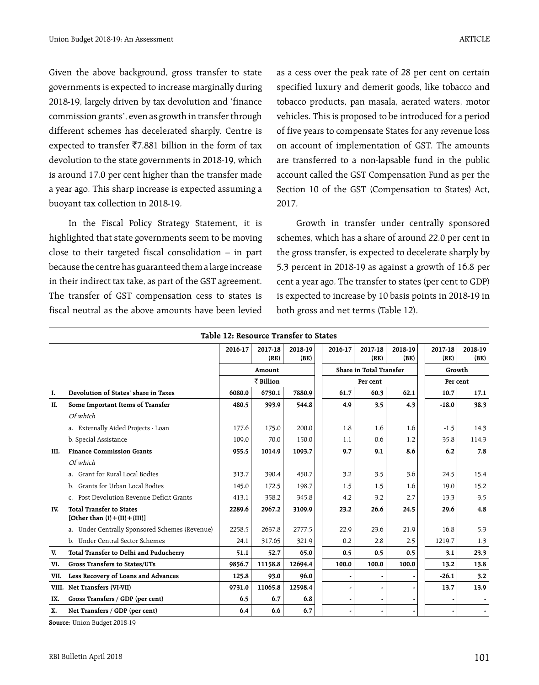Given the above background, gross transfer to state governments is expected to increase marginally during 2018-19, largely driven by tax devolution and 'finance commission grants', even as growth in transfer through different schemes has decelerated sharply. Centre is expected to transfer  $\overline{5}7,881$  billion in the form of tax devolution to the state governments in 2018-19, which is around 17.0 per cent higher than the transfer made a year ago. This sharp increase is expected assuming a buoyant tax collection in 2018-19.

In the Fiscal Policy Strategy Statement, it is highlighted that state governments seem to be moving close to their targeted fiscal consolidation – in part because the centre has guaranteed them a large increase in their indirect tax take, as part of the GST agreement. The transfer of GST compensation cess to states is fiscal neutral as the above amounts have been levied

as a cess over the peak rate of 28 per cent on certain specified luxury and demerit goods, like tobacco and tobacco products, pan masala, aerated waters, motor vehicles. This is proposed to be introduced for a period of five years to compensate States for any revenue loss on account of implementation of GST. The amounts are transferred to a non-lapsable fund in the public account called the GST Compensation Fund as per the Section 10 of the GST (Compensation to States) Act, 2017.

Growth in transfer under centrally sponsored schemes, which has a share of around 22.0 per cent in the gross transfer, is expected to decelerate sharply by 5.3 percent in 2018-19 as against a growth of 16.8 per cent a year ago. The transfer to states (per cent to GDP) is expected to increase by 10 basis points in 2018-19 in both gross and net terms (Table 12).

|      | Table 12: Resource Transfer to States                                 |         |                 |                 |  |         |                         |                 |                 |                          |                 |
|------|-----------------------------------------------------------------------|---------|-----------------|-----------------|--|---------|-------------------------|-----------------|-----------------|--------------------------|-----------------|
|      |                                                                       | 2016-17 | 2017-18<br>(RE) | 2018-19<br>(BE) |  | 2016-17 | 2017-18<br>(RE)         | 2018-19<br>(BE) | 2017-18<br>(RE) |                          | 2018-19<br>(BE) |
|      |                                                                       |         | Amount          |                 |  |         | Share in Total Transfer |                 |                 | Growth                   |                 |
|      |                                                                       |         | ₹ Billion       |                 |  |         | Per cent                |                 |                 | Per cent                 |                 |
| I.   | Devolution of States' share in Taxes                                  | 6080.0  | 6730.1          | 7880.9          |  | 61.7    | 60.3                    | 62.1            | 10.7            |                          | 17.1            |
| II.  | Some Important Items of Transfer                                      | 480.5   | 393.9           | 544.8           |  | 4.9     | 3.5                     | 4.3             | $-18.0$         |                          | 38.3            |
|      | Of which                                                              |         |                 |                 |  |         |                         |                 |                 |                          |                 |
|      | a. Externally Aided Projects - Loan                                   | 177.6   | 175.0           | 200.0           |  | 1.8     | 1.6                     | 1.6             | $-1.5$          |                          | 14.3            |
|      | b. Special Assistance                                                 | 109.0   | 70.0            | 150.0           |  | 1.1     | 0.6                     | 1.2             | $-35.8$         |                          | 114.3           |
| III. | <b>Finance Commission Grants</b>                                      | 955.5   | 1014.9          | 1093.7          |  | 9.7     | 9.1                     | 8.6             | 6.2             |                          | 7.8             |
|      | Of which                                                              |         |                 |                 |  |         |                         |                 |                 |                          |                 |
|      | a. Grant for Rural Local Bodies                                       | 313.7   | 390.4           | 450.7           |  | 3.2     | 3.5                     | 3.6             | 24.5            |                          | 15.4            |
|      | Grants for Urban Local Bodies<br>b.                                   | 145.0   | 172.5           | 198.7           |  | 1.5     | 1.5                     | 1.6             | 19.0            |                          | 15.2            |
|      | c. Post Devolution Revenue Deficit Grants                             | 413.1   | 358.2           | 345.8           |  | 4.2     | 3.2                     | 2.7             | $-13.3$         |                          | $-3.5$          |
| IV.  | <b>Total Transfer to States</b><br>[Other than $(I) + (II) + (III)$ ] | 2289.6  | 2967.2          | 3109.9          |  | 23.2    | 26.6                    | 24.5            | 29.6            |                          | 4.8             |
|      | a. Under Centrally Sponsored Schemes (Revenue)                        | 2258.5  | 2637.8          | 2777.5          |  | 22.9    | 23.6                    | 21.9            | 16.8            |                          | 5.3             |
|      | b. Under Central Sector Schemes                                       | 24.1    | 317.65          | 321.9           |  | 0.2     | 2.8                     | 2.5             | 1219.7          |                          | 1.3             |
| V.   | Total Transfer to Delhi and Puducherry                                | 51.1    | 52.7            | 65.0            |  | 0.5     | 0.5                     | 0.5             | 3.1             |                          | 23.3            |
| VI.  | Gross Transfers to States/UTs                                         | 9856.7  | 11158.8         | 12694.4         |  | 100.0   | 100.0                   | 100.0           | 13.2            |                          | 13.8            |
| VII. | Less Recovery of Loans and Advances                                   | 125.8   | 93.0            | 96.0            |  |         |                         |                 | $-26.1$         |                          | 3.2             |
|      | VIII. Net Transfers (VI-VII)                                          | 9731.0  | 11065.8         | 12598.4         |  |         |                         |                 | 13.7            |                          | 13.9            |
| IX.  | Gross Transfers / GDP (per cent)                                      | 6.5     | 6.7             | 6.8             |  |         |                         |                 |                 | $\overline{\phantom{a}}$ |                 |
| Х.   | Net Transfers / GDP (per cent)                                        | 6.4     | 6.6             | 6.7             |  |         |                         |                 |                 |                          |                 |

**Source**: Union Budget 2018-19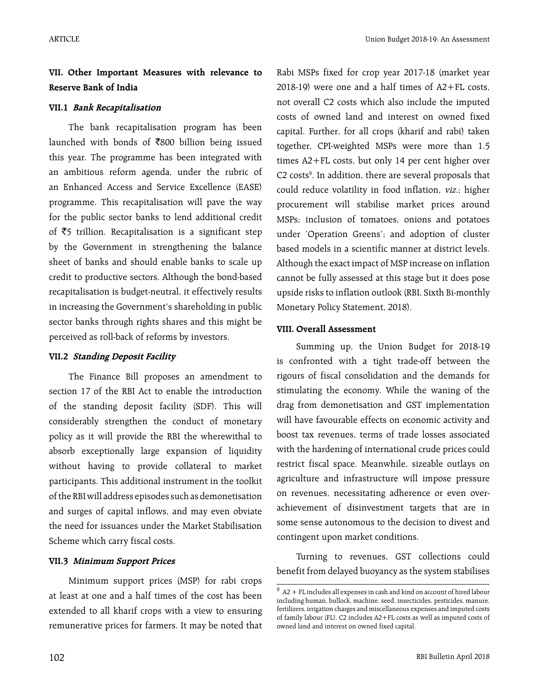# **VII. Other Important Measures with relevance to Reserve Bank of India**

## **VII.1 Bank Recapitalisation**

The bank recapitalisation program has been launched with bonds of  $\bar{z}800$  billion being issued this year. The programme has been integrated with an ambitious reform agenda, under the rubric of an Enhanced Access and Service Excellence (EASE) programme. This recapitalisation will pave the way for the public sector banks to lend additional credit of  $\overline{5}5$  trillion. Recapitalisation is a significant step by the Government in strengthening the balance sheet of banks and should enable banks to scale up credit to productive sectors. Although the bond-based recapitalisation is budget-neutral, it effectively results in increasing the Government's shareholding in public sector banks through rights shares and this might be perceived as roll-back of reforms by investors.

## **VII.2 Standing Deposit Facility**

The Finance Bill proposes an amendment to section 17 of the RBI Act to enable the introduction of the standing deposit facility (SDF). This will considerably strengthen the conduct of monetary policy as it will provide the RBI the wherewithal to absorb exceptionally large expansion of liquidity without having to provide collateral to market participants. This additional instrument in the toolkit of the RBI will address episodes such as demonetisation and surges of capital inflows, and may even obviate the need for issuances under the Market Stabilisation Scheme which carry fiscal costs.

## **VII.3 Minimum Support Prices**

Minimum support prices (MSP) for rabi crops at least at one and a half times of the cost has been extended to all kharif crops with a view to ensuring remunerative prices for farmers. It may be noted that Rabi MSPs fixed for crop year 2017-18 (market year 2018-19) were one and a half times of A2+FL costs, not overall C2 costs which also include the imputed costs of owned land and interest on owned fixed capital. Further, for all crops (kharif and rabi) taken together, CPI-weighted MSPs were more than 1.5 times A2+FL costs, but only 14 per cent higher over C2 costs<sup>9</sup>. In addition, there are several proposals that could reduce volatility in food inflation, viz.; higher procurement will stabilise market prices around MSPs; inclusion of tomatoes, onions and potatoes under 'Operation Greens'; and adoption of cluster based models in a scientific manner at district levels. Although the exact impact of MSP increase on inflation cannot be fully assessed at this stage but it does pose upside risks to inflation outlook (RBI, Sixth Bi-monthly Monetary Policy Statement, 2018).

## **VIII. Overall Assessment**

Summing up, the Union Budget for 2018-19 is confronted with a tight trade-off between the rigours of fiscal consolidation and the demands for stimulating the economy. While the waning of the drag from demonetisation and GST implementation will have favourable effects on economic activity and boost tax revenues, terms of trade losses associated with the hardening of international crude prices could restrict fiscal space. Meanwhile, sizeable outlays on agriculture and infrastructure will impose pressure on revenues, necessitating adherence or even overachievement of disinvestment targets that are in some sense autonomous to the decision to divest and contingent upon market conditions.

Turning to revenues, GST collections could benefit from delayed buoyancy as the system stabilises

 $9$  A2 + FL includes all expenses in cash and kind on account of hired labour including human, bullock, machine, seed, insecticides, pesticides, manure, fertilizers, irrigation charges and miscellaneous expenses and imputed costs of family labour (FL). C2 includes A2+FL costs as well as imputed costs of owned land and interest on owned fixed capital.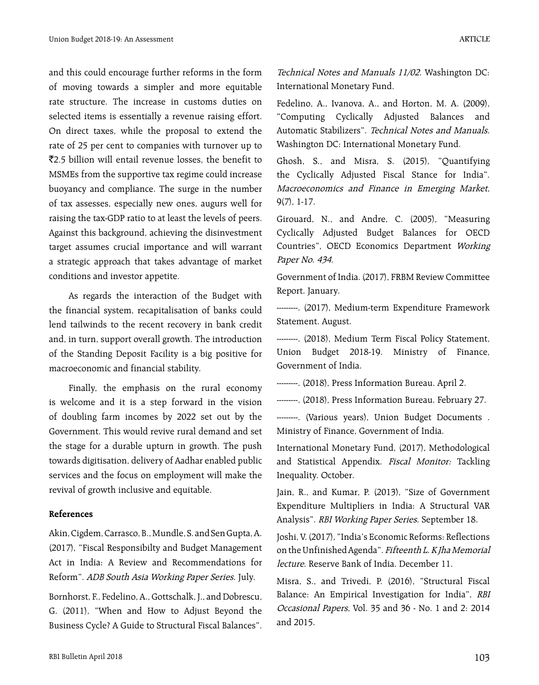and this could encourage further reforms in the form of moving towards a simpler and more equitable rate structure. The increase in customs duties on selected items is essentially a revenue raising effort. On direct taxes, while the proposal to extend the rate of 25 per cent to companies with turnover up to `2.5 billion will entail revenue losses, the benefit to MSMEs from the supportive tax regime could increase buoyancy and compliance. The surge in the number of tax assesses, especially new ones, augurs well for raising the tax-GDP ratio to at least the levels of peers. Against this background, achieving the disinvestment target assumes crucial importance and will warrant a strategic approach that takes advantage of market conditions and investor appetite.

As regards the interaction of the Budget with the financial system, recapitalisation of banks could lend tailwinds to the recent recovery in bank credit and, in turn, support overall growth. The introduction of the Standing Deposit Facility is a big positive for macroeconomic and financial stability.

Finally, the emphasis on the rural economy is welcome and it is a step forward in the vision of doubling farm incomes by 2022 set out by the Government. This would revive rural demand and set the stage for a durable upturn in growth. The push towards digitisation, delivery of Aadhar enabled public services and the focus on employment will make the revival of growth inclusive and equitable.

#### **References**

Akin, Cigdem, Carrasco, B., Mundle, S. and Sen Gupta, A. (2017), "Fiscal Responsibilty and Budget Management Act in India: A Review and Recommendations for Reform". ADB South Asia Working Paper Series. July.

Bornhorst, F., Fedelino, A., Gottschalk, J., and Dobrescu, G. (2011), "When and How to Adjust Beyond the Business Cycle? A Guide to Structural Fiscal Balances".

Technical Notes and Manuals 11/02. Washington DC: International Monetary Fund.

Fedelino, A., Ivanova, A., and Horton, M. A. (2009), "Computing Cyclically Adjusted Balances and Automatic Stabilizers". Technical Notes and Manuals. Washington DC: International Monetary Fund.

Ghosh, S., and Misra, S. (2015), "Quantifying the Cyclically Adjusted Fiscal Stance for India". Macroeconomics and Finance in Emerging Market, 9(7), 1-17.

Girouard, N., and Andre, C. (2005), "Measuring Cyclically Adjusted Budget Balances for OECD Countries", OECD Economics Department Working Paper No. 434.

Government of India. (2017), FRBM Review Committee Report. January.

---------. (2017), Medium-term Expenditure Framework Statement. August.

---------. (2018), Medium Term Fiscal Policy Statement, Union Budget 2018-19. Ministry of Finance, Government of India.

---------. (2018), Press Information Bureau. April 2.

---------. (2018), Press Information Bureau. February 27.

---------. (Various years), Union Budget Documents . Ministry of Finance, Government of India.

International Monetary Fund, (2017), Methodological and Statistical Appendix. Fiscal Monitor: Tackling Inequality. October.

Jain, R., and Kumar, P. (2013), "Size of Government Expenditure Multipliers in India: A Structural VAR Analysis". RBI Working Paper Series. September 18.

Joshi, V. (2017), "India's Economic Reforms: Reflections on the Unfinished Agenda". Fifteenth L. K Jha Memorial lecture. Reserve Bank of India. December 11.

Misra, S., and Trivedi, P. (2016), "Structural Fiscal Balance: An Empirical Investigation for India", RBI Occasional Papers, Vol. 35 and 36 - No. 1 and 2: 2014 and 2015.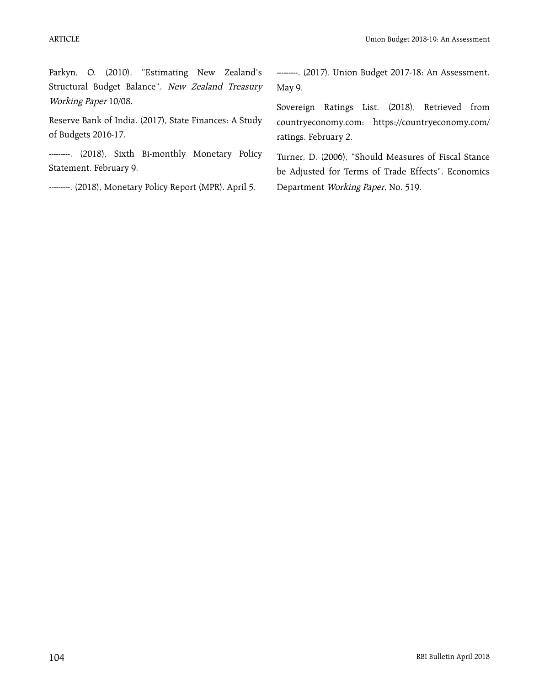Parkyn, O. (2010), "Estimating New Zealand's Structural Budget Balance". New Zealand Treasury Working Paper 10/08.

Reserve Bank of India. (2017), State Finances: A Study of Budgets 2016-17.

--------. (2018), Sixth Bi-monthly Monetary Policy Statement. February 9.

---------. (2018), Monetary Policy Report (MPR). April 5.

---------. (2017), Union Budget 2017-18: An Assessment. May 9.

Sovereign Ratings List. (2018), Retrieved from countryeconomy.com: https://countryeconomy.com/ ratings. February 2.

Turner, D. (2006), "Should Measures of Fiscal Stance be Adjusted for Terms of Trade Effects". Economics Department Working Paper, No. 519.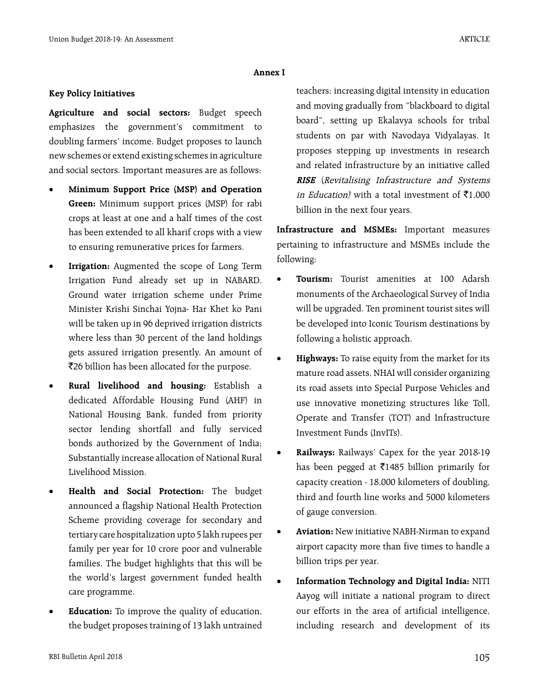## **Annex I**

## **Key Policy Initiatives**

**Agriculture and social sectors:** Budget speech emphasizes the government's commitment to doubling farmers' income. Budget proposes to launch new schemes or extend existing schemes in agriculture and social sectors. Important measures are as follows:

- **Minimum Support Price (MSP) and Operation Green:** Minimum support prices (MSP) for rabi crops at least at one and a half times of the cost has been extended to all kharif crops with a view to ensuring remunerative prices for farmers.
- **Irrigation:** Augmented the scope of Long Term Irrigation Fund already set up in NABARD. Ground water irrigation scheme under Prime Minister Krishi Sinchai Yojna- Har Khet ko Pani will be taken up in 96 deprived irrigation districts where less than 30 percent of the land holdings gets assured irrigation presently. An amount of `26 billion has been allocated for the purpose.
- • **Rural livelihood and housing:** Establish a dedicated Affordable Housing Fund (AHF) in National Housing Bank, funded from priority sector lending shortfall and fully serviced bonds authorized by the Government of India; Substantially increase allocation of National Rural Livelihood Mission.
- Health and Social Protection: The budget announced a flagship National Health Protection Scheme providing coverage for secondary and tertiary care hospitalization upto 5 lakh rupees per family per year for 10 crore poor and vulnerable families. The budget highlights that this will be the world's largest government funded health care programme.
- **Education:** To improve the quality of education, the budget proposes training of 13 lakh untrained

teachers; increasing digital intensity in education and moving gradually from "blackboard to digital board", setting up Ekalavya schools for tribal students on par with Navodaya Vidyalayas. It proposes stepping up investments in research and related infrastructure by an initiative called **RISE** (Revitalising Infrastructure and Systems in Education) with a total investment of  $\bar{\tau}$ 1,000 billion in the next four years.

**Infrastructure and MSMEs:** Important measures pertaining to infrastructure and MSMEs include the following:

- **Tourism:** Tourist amenities at 100 Adarsh monuments of the Archaeological Survey of India will be upgraded. Ten prominent tourist sites will be developed into Iconic Tourism destinations by following a holistic approach.
- **Highways:** To raise equity from the market for its mature road assets, NHAI will consider organizing its road assets into Special Purpose Vehicles and use innovative monetizing structures like Toll, Operate and Transfer (TOT) and Infrastructure Investment Funds (InvITs).
- Railways: Railways' Capex for the year 2018-19 has been pegged at  $\overline{\xi}$ 1485 billion primarily for capacity creation - 18,000 kilometers of doubling, third and fourth line works and 5000 kilometers of gauge conversion.
- **Aviation:** New initiative NABH-Nirman to expand airport capacity more than five times to handle a billion trips per year.
- • **Information Technology and Digital India:** NITI Aayog will initiate a national program to direct our efforts in the area of artificial intelligence, including research and development of its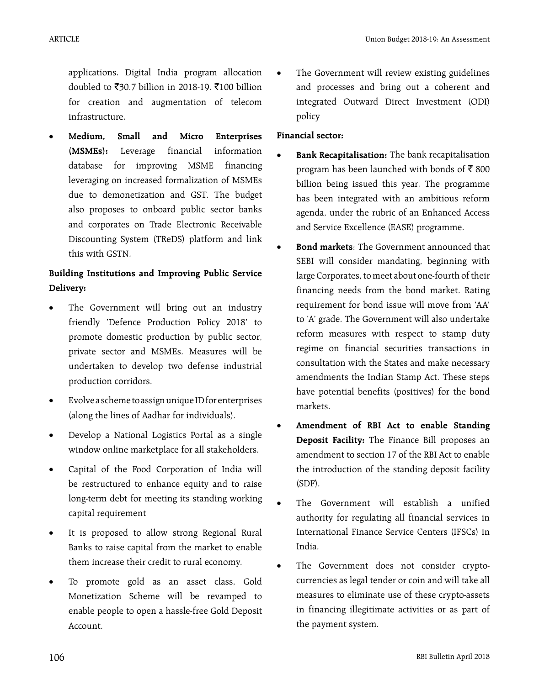applications. Digital India program allocation doubled to ₹30.7 billion in 2018-19. ₹100 billion for creation and augmentation of telecom infrastructure.

• **Medium, Small and Micro Enterprises (MSMEs):** Leverage financial information database for improving MSME financing leveraging on increased formalization of MSMEs due to demonetization and GST. The budget also proposes to onboard public sector banks and corporates on Trade Electronic Receivable Discounting System (TReDS) platform and link this with GSTN.

# **Building Institutions and Improving Public Service Delivery:**

- The Government will bring out an industry friendly 'Defence Production Policy 2018' to promote domestic production by public sector, private sector and MSMEs. Measures will be undertaken to develop two defense industrial production corridors.
- Evolve a scheme to assign unique ID for enterprises (along the lines of Aadhar for individuals).
- Develop a National Logistics Portal as a single window online marketplace for all stakeholders.
- Capital of the Food Corporation of India will be restructured to enhance equity and to raise long-term debt for meeting its standing working capital requirement
- It is proposed to allow strong Regional Rural Banks to raise capital from the market to enable them increase their credit to rural economy.
- To promote gold as an asset class, Gold Monetization Scheme will be revamped to enable people to open a hassle-free Gold Deposit Account.

The Government will review existing guidelines and processes and bring out a coherent and integrated Outward Direct Investment (ODI) policy

## **Financial sector:**

- **Bank Recapitalisation:** The bank recapitalisation program has been launched with bonds of  $\bar{\tau}$  800 billion being issued this year. The programme has been integrated with an ambitious reform agenda, under the rubric of an Enhanced Access and Service Excellence (EASE) programme.
- **Bond markets**: The Government announced that SEBI will consider mandating, beginning with large Corporates, to meet about one-fourth of their financing needs from the bond market. Rating requirement for bond issue will move from 'AA' to 'A' grade. The Government will also undertake reform measures with respect to stamp duty regime on financial securities transactions in consultation with the States and make necessary amendments the Indian Stamp Act. These steps have potential benefits (positives) for the bond markets.
- Amendment of RBI Act to enable Standing **Deposit Facility:** The Finance Bill proposes an amendment to section 17 of the RBI Act to enable the introduction of the standing deposit facility (SDF).
- The Government will establish a unified authority for regulating all financial services in International Finance Service Centers (IFSCs) in India.
- The Government does not consider cryptocurrencies as legal tender or coin and will take all measures to eliminate use of these crypto-assets in financing illegitimate activities or as part of the payment system.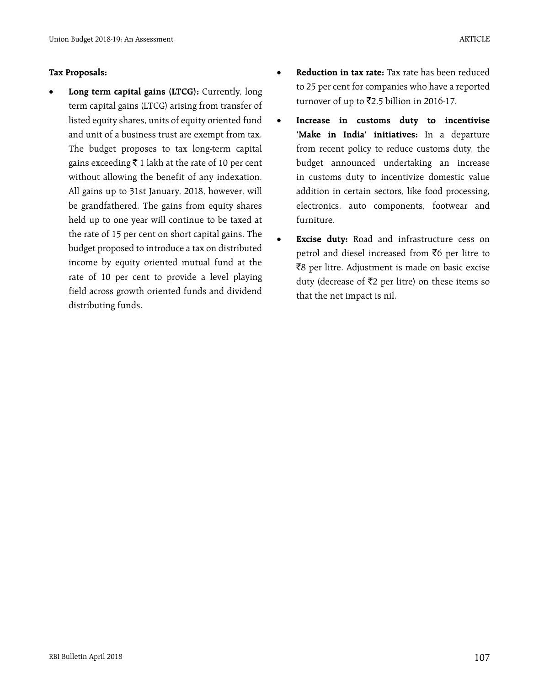## **Tax Proposals:**

- Long term capital gains (LTCG): Currently, long term capital gains (LTCG) arising from transfer of listed equity shares, units of equity oriented fund and unit of a business trust are exempt from tax. The budget proposes to tax long-term capital gains exceeding  $\bar{\tau}$  1 lakh at the rate of 10 per cent without allowing the benefit of any indexation. All gains up to 31st January, 2018, however, will be grandfathered. The gains from equity shares held up to one year will continue to be taxed at the rate of 15 per cent on short capital gains. The budget proposed to introduce a tax on distributed income by equity oriented mutual fund at the rate of 10 per cent to provide a level playing field across growth oriented funds and dividend distributing funds.
- **Reduction in tax rate:** Tax rate has been reduced to 25 per cent for companies who have a reported turnover of up to  $\bar{\mathfrak{Z}}2.5$  billion in 2016-17.
- • **Increase in customs duty to incentivise 'Make in India' initiatives:** In a departure from recent policy to reduce customs duty, the budget announced undertaking an increase in customs duty to incentivize domestic value addition in certain sectors, like food processing, electronics, auto components, footwear and furniture.
- **Excise duty:** Road and infrastructure cess on petrol and diesel increased from  $\bar{z}$ 6 per litre to ₹8 per litre. Adjustment is made on basic excise duty (decrease of  $\bar{z}$ 2 per litre) on these items so that the net impact is nil.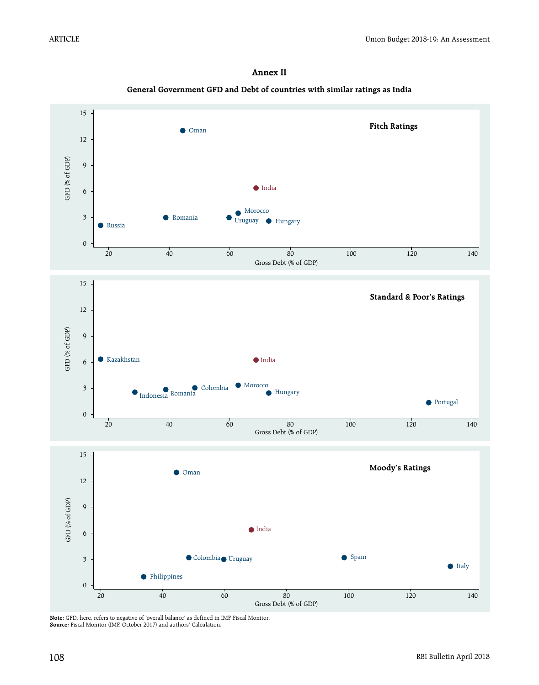## **Annex II**





**Note:** GFD, here, refers to negative of 'overall balance' as defined in IMF Fiscal Monitor. **Source:** Fiscal Monitor (IMF, October 2017) and authors' Calculation.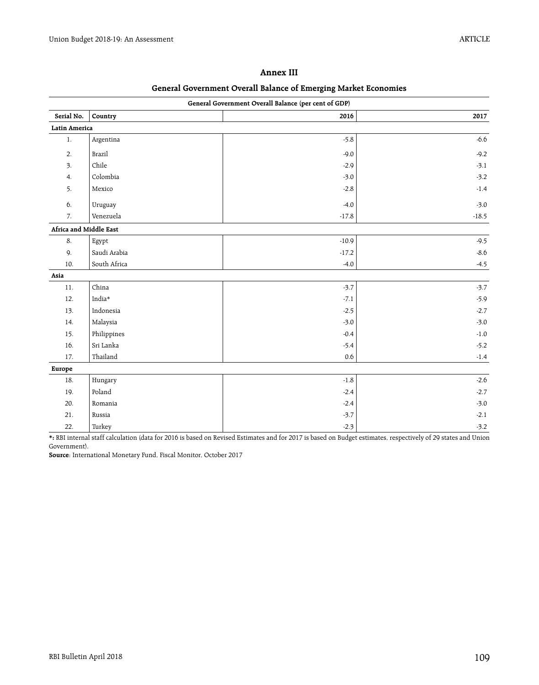L.

| General Government Overall Balance (per cent of GDP) |               |               |               |  |  |  |  |
|------------------------------------------------------|---------------|---------------|---------------|--|--|--|--|
| Serial No.                                           | Country       | 2016          | 2017          |  |  |  |  |
| Latin America                                        |               |               |               |  |  |  |  |
| 1.                                                   | Argentina     | $-5.8$        | $-6.6$        |  |  |  |  |
| 2.                                                   | <b>Brazil</b> | $-9.0$        | $-9.2$        |  |  |  |  |
| $\overline{3}$ .                                     | Chile         | $-2.9$        | $-3.1$        |  |  |  |  |
| 4.                                                   | Colombia      | $-3.0$        | $-3.2$        |  |  |  |  |
| 5.                                                   | Mexico        | $-2.8$        | $-1.4$        |  |  |  |  |
| 6.                                                   | Uruguay       | $-4.0$        | $-3.0$        |  |  |  |  |
| 7.                                                   | Venezuela     | $-17.8$       | $-18.5$       |  |  |  |  |
| Africa and Middle East                               |               |               |               |  |  |  |  |
| 8.                                                   | Egypt         | $-10.9$       | $-9.5$        |  |  |  |  |
| 9.                                                   | Saudi Arabia  | $-17.2$       | $-8.6$        |  |  |  |  |
| 10.                                                  | South Africa  | $-4.0$        | $-4.5$        |  |  |  |  |
| Asia                                                 |               |               |               |  |  |  |  |
| 11.                                                  | China         | $-3.7$        | $-3.7$        |  |  |  |  |
| 12.                                                  | India*        | $-7.1$        | $-5.9$        |  |  |  |  |
| 13.                                                  | Indonesia     | $-2.5$        | $-2.7$        |  |  |  |  |
| 14.                                                  | Malaysia      | $-3.0$        | $-3.0$        |  |  |  |  |
| 15.                                                  | Philippines   | $-0.4$        | $\text{-}1.0$ |  |  |  |  |
| 16.                                                  | Sri Lanka     | $-5.4$        | $-5.2$        |  |  |  |  |
| 17.                                                  | Thailand      | 0.6           | $-1.4$        |  |  |  |  |
| Europe                                               |               |               |               |  |  |  |  |
| 18.                                                  | Hungary       | $\text{-}1.8$ | $-2.6$        |  |  |  |  |
| 19.                                                  | Poland        | $-2.4$        | $-2.7$        |  |  |  |  |
| 20.                                                  | Romania       | $-2.4$        | $-3.0$        |  |  |  |  |
| 21.                                                  | Russia        | $-3.7$        | $-2.1$        |  |  |  |  |
| 22.                                                  | Turkey        | $-2.3$        | $-3.2$        |  |  |  |  |

## **Annex III**

#### **General Government Overall Balance of Emerging Market Economies**

**\*:** RBI internal staff calculation (data for 2016 is based on Revised Estimates and for 2017 is based on Budget estimates, respectively of 29 states and Union Government).

**Source**: International Monetary Fund, Fiscal Monitor, October 2017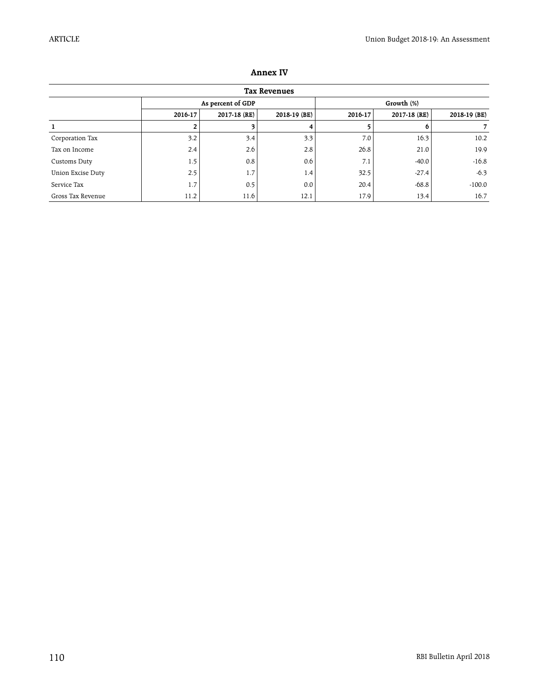| Annex IV |  |
|----------|--|
|----------|--|

| <b>Tax Revenues</b> |                                         |                   |      |      |                                         |          |  |  |  |
|---------------------|-----------------------------------------|-------------------|------|------|-----------------------------------------|----------|--|--|--|
|                     |                                         | As percent of GDP |      |      | Growth (%)                              |          |  |  |  |
|                     | 2017-18 (RE)<br>2018-19 (BE)<br>2016-17 |                   |      |      | 2016-17<br>2017-18 (RE)<br>2018-19 (BE) |          |  |  |  |
|                     |                                         | 3                 | 4    |      | 0.                                      |          |  |  |  |
| Corporation Tax     | 3.2                                     | 3.4               | 3.3  | 7.0  | 16.3                                    | 10.2     |  |  |  |
| Tax on Income       | 2.4                                     | 2.6               | 2.8  | 26.8 | 21.0                                    | 19.9     |  |  |  |
| Customs Duty        | 1.5                                     | 0.8               | 0.6  | 7.1  | $-40.0$                                 | $-16.8$  |  |  |  |
| Union Excise Duty   | 2.5                                     | 1.7               | 1.4  | 32.5 | $-27.4$                                 | $-6.3$   |  |  |  |
| Service Tax         | 1.7                                     | 0.5               | 0.0  | 20.4 | $-68.8$                                 | $-100.0$ |  |  |  |
| Gross Tax Revenue   | 11.2                                    | 11.6              | 12.1 | 17.9 | 13.4                                    | 16.7     |  |  |  |